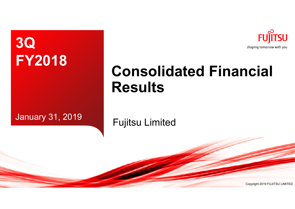

# **Consolidated Financial Results**

**FY2018**

**3Q**

# January 31, 2019 **Fujitsu Limited**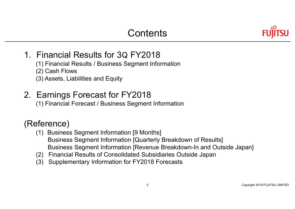

### 1. Financial Results for 3Q FY2018

- (1) Financial Results / Business Segment Information
- (2) Cash Flows
- (3) Assets, Liabilities and Equity

### 2. Earnings Forecast for FY2018

(1) Financial Forecast / Business Segment Information

### (Reference)

- (1) Business Segment Information [9 Months] Business Segment Information [Quarterly Breakdown of Results] Business Segment Information [Revenue Breakdown-In and Outside Japan]
- (2) Financial Results of Consolidated Subsidiaries Outside Japan
- (3) Supplementary Information for FY2018 Forecasts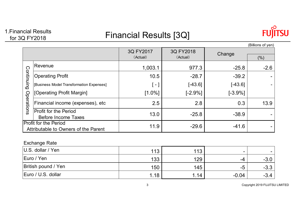# 1.Financial Results

### Financial Results<br>for 3Q FY2018 **Financial Results** [3Q]



|                                                                      |                                                            |           |           |           | (Billions of yen) |
|----------------------------------------------------------------------|------------------------------------------------------------|-----------|-----------|-----------|-------------------|
|                                                                      |                                                            | 3Q FY2017 | 3Q FY2018 | Change    |                   |
|                                                                      |                                                            | (Actual)  | (Actual)  |           | (%)               |
|                                                                      | Revenue                                                    | 1,003.1   | 977.3     | $-25.8$   | $-2.6$            |
| Continuing                                                           | <b>Operating Profit</b>                                    | 10.5      | $-28.7$   | $-39.2$   |                   |
|                                                                      | [Business Model Transformation Expenses]                   | $\sim$    | $[-43.6]$ | $[-43.6]$ |                   |
|                                                                      | [Operating Profit Margin]                                  | $[1.0\%]$ | $[-2.9%]$ | $[-3.9%]$ |                   |
| Operations                                                           | Financial income (expenses), etc                           | 2.5       | 2.8       | 0.3       | 13.9              |
|                                                                      | <b>Profit for the Period</b><br><b>Before Income Taxes</b> | 13.0      | $-25.8$   | $-38.9$   |                   |
| <b>Profit for the Period</b><br>Attributable to Owners of the Parent |                                                            | 11.9      | $-29.6$   | $-41.6$   |                   |

### Exchange Rate

| $ U.S.$ dollar / Yen       | 113  | 113  | $\overline{\phantom{0}}$ |        |
|----------------------------|------|------|--------------------------|--------|
| Euro / Yen                 | 133  | 129  | -4                       | $-3.0$ |
| <b>British pound / Yen</b> | 150  | 145  | -ე                       | $-3.3$ |
| Euro / U.S. dollar         | 1.18 | 1.14 | $-0.04$                  | $-3.4$ |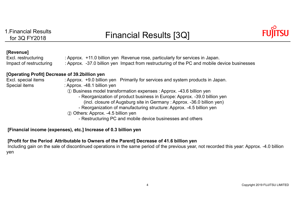

#### **[Revenue]**

Excl. restructuring : Approx. +11.0 billion yen Revenue rose, particularly for services in Japan. Impact of restructuring : Approx. -37.0 billion yen Impact from restructuring of the PC and mobile device businesses

#### **[Operating Profit] Decrease of 39.2billion yen**

- Excl. special items : Approx. +9.0 billion yen Primarily for services and system products in Japan.
- Special items : Approx. -48.1 billion yen
	- ① Business model transformation expenses : Approx. -43.6 billion yen
		- Reorganization of product business in Europe: Approx. -39.0 billion yen (incl. closure of Augsburg site in Germany : Approx. -36.0 billion yen)
		- Reorganization of manufacturing structure: Approx. -4.5 billion yen
	- ② Others: Approx. -4.5 billion yen
		- Restructuring PC and mobile device businesses and others

#### **[Financial income (expenses), etc.] Increase of 0.3 billion yen**

#### **[Profit for the Period Attributable to Owners of the Parent] Decrease of 41.6 billion yen**

Including gain on the sale of discontinued operations in the same period of the previous year, not recorded this year: Approx. -4.0 billion yen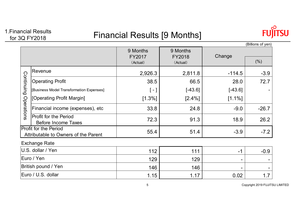# 1.Financial Results

### Financial Results<br>for 3Q FY2018 **Financial Results [9 Months]**



|                                                                      |                                                            |                                |                                |           | (Billions of yen) |
|----------------------------------------------------------------------|------------------------------------------------------------|--------------------------------|--------------------------------|-----------|-------------------|
|                                                                      |                                                            | 9 Months<br>FY2017<br>(Actual) | 9 Months<br>FY2018<br>(Actual) | Change    | (% )              |
|                                                                      | Revenue                                                    | 2,926.3                        | 2,811.8                        | $-114.5$  | $-3.9$            |
|                                                                      | <b>Operating Profit</b>                                    | 38.5                           | 66.5                           | 28.0      | 72.7              |
| Continuing                                                           | [Business Model Transformation Expenses]                   | $\left[ -\right]$              | $[-43.6]$                      | $[-43.6]$ |                   |
|                                                                      | [Operating Profit Margin]                                  | $[1.3\%]$                      | $[2.4\%]$                      | $[1.1\%]$ |                   |
| Operations                                                           | Financial income (expenses), etc                           | 33.8                           | 24.8                           | $-9.0$    | $-26.7$           |
|                                                                      | <b>Profit for the Period</b><br><b>Before Income Taxes</b> | 72.3                           | 91.3                           | 18.9      | 26.2              |
| <b>Profit for the Period</b><br>Attributable to Owners of the Parent |                                                            | 55.4                           | 51.4                           | $-3.9$    | $-7.2$            |
|                                                                      | <b>Exchange Rate</b>                                       |                                |                                |           |                   |
| U.S. dollar / Yen                                                    |                                                            | 112                            | 111                            | $-1$      | $-0.9$            |
| Euro / Yen                                                           |                                                            | 129                            | 129                            | -         |                   |
| British pound / Yen                                                  |                                                            | 146                            | 146                            |           |                   |
| Euro / U.S. dollar                                                   |                                                            | 1.15                           | 1.17                           | 0.02      | 1.7               |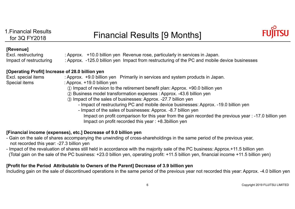

#### **[Revenue]**

Excl. restructuring : Approx. +10.0 billion yen Revenue rose, particularly in services in Japan. Impact of restructuring  $\qquad$  : Approx. -125.0 billion yen Impact from restructuring of the PC and mobile device businesses

#### **[Operating Profit] Increase of 28.0 billion yen**

- Excl. special items : Approx. +9.0 billion yen Primarily in services and system products in Japan.
- Special items : Approx. +19.0 billion yen
	- ① Impact of revision to the retirement benefit plan: Approx. +90.0 billion yen
	- ② Business model transformation expenses : Approx. -43.6 billion yen
	- ③ Impact of the sales of businesses: Approx. -27.7 billion yen
		- Impact of restructuring PC and mobile device businesses: Approx. -19.0 billion yen
		- Impact of the sales of businesses: Approx. -8.7 billion yen Impact on profit comparison for this year from the gain recorded the previous year : -17.0 billion yen Impact on profit recorded this year : +8.3billion yen

#### **[Financial income (expenses), etc.] Decrease of 9.0 billion yen**

- Gain on the sale of shares accompanying the unwinding of cross-shareholdings in the same period of the previous year, not recorded this year: -27.3 billion yen
- Impact of the revaluation of shares still held in accordance with the majority sale of the PC business: Approx.+11.5 billion yen (Total gain on the sale of the PC business: +23.0 billion yen, operating profit: +11.5 billion yen, financial income +11.5 billion yen)

#### **[Profit for the Period Attributable to Owners of the Parent] Decrease of 3.9 billion yen**

Including gain on the sale of discontinued operations in the same period of the previous year not recorded this year: Approx. -4.0 billion yen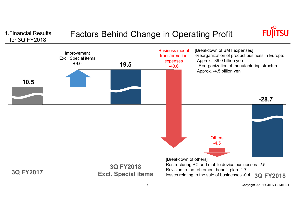# 1. Financial Results Factors Behind Change in Operating Profit for 3Q FY2018



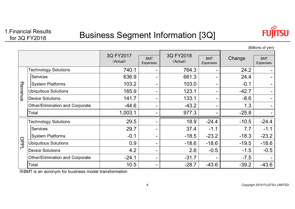

|                          |                                 |                       |                        |                       |                        |         | ווט א וט טווטשן,       |
|--------------------------|---------------------------------|-----------------------|------------------------|-----------------------|------------------------|---------|------------------------|
|                          |                                 | 3Q FY2017<br>(Actual) | <b>BMT</b><br>Expenses | 3Q FY2018<br>(Actual) | <b>BMT</b><br>Expenses | Change  | <b>BMT</b><br>Expenses |
|                          | <b>Technology Solutions</b>     | 740.1                 |                        | 764.3                 |                        | 24.2    |                        |
|                          | <b>Services</b>                 | 636.9                 |                        | 661.3                 |                        | 24.4    |                        |
|                          | <b>System Platforms</b>         | 103.2                 |                        | 103.0                 |                        | $-0.1$  |                        |
| Revenue                  | <b>Ubiquitous Solutions</b>     | 165.9                 | -                      | 123.1                 |                        | $-42.7$ |                        |
|                          | <b>Device Solutions</b>         | 141.7                 |                        | 133.1                 |                        | $-8.6$  |                        |
|                          | Other/Elimination and Corporate | $-44.6$               |                        | $-43.2$               |                        | 1.3     |                        |
|                          | Total                           | 1,003.1               |                        | 977.3                 |                        | $-25.8$ |                        |
|                          | <b>Technology Solutions</b>     | 29.5                  |                        | 18.9                  | $-24.4$                | $-10.5$ | $-24.4$                |
|                          | <b>Services</b>                 | 29.7                  |                        | 37.4                  | $-1.1$                 | 7.7     | $-1.1$                 |
|                          | <b>System Platforms</b>         | $-0.1$                |                        | $-18.5$               | $-23.2$                | $-18.3$ | $-23.2$                |
| OPPI                     | <b>Ubiquitous Solutions</b>     | 0.9                   | -                      | $-18.6$               | $-18.6$                | $-19.5$ | $-18.6$                |
| $\overline{\phantom{a}}$ | <b>Device Solutions</b>         | 4.2                   | -                      | 2.6                   | $-0.5$                 | $-1.5$  | $-0.5$                 |
|                          | Other/Elimination and Corporate | $-24.1$               | -                      | $-31.7$               |                        | $-7.5$  |                        |
|                          | Total                           | 10.5                  |                        | $-28.7$               | $-43.6$                | $-39.2$ | $-43.6$                |

(Billions of yen)

※BMT is an acronym for business model transformation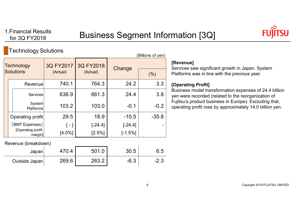

### Technology Solutions

|                   | JJ                            |                        | (Billions of yen) |            |         |
|-------------------|-------------------------------|------------------------|-------------------|------------|---------|
| <b>Technology</b> |                               | 3Q FY2017<br>3Q FY2018 |                   | Change     |         |
|                   | <b>Solutions</b>              | (Actual)               | (Actual)          |            | (% )    |
|                   | Revenue                       | 740.1                  | 764.3             | 24.2       | 3.3     |
|                   | <b>Services</b>               | 636.9                  | 661.3             | 24.4       | 3.8     |
|                   | System<br><b>Platforms</b>    | 103.2                  | 103.0             | $-0.1$     | $-0.2$  |
|                   | Operating profit              | 29.5                   | 18.9              | $-10.5$    | $-35.8$ |
|                   | [BMT Expenses]                | [ - ]                  | $[-24.4]$         | $[-24.4]$  |         |
|                   | [Operating profit]<br>margin] | $[4.0\%]$              | [2.5%]            | $[-1.5\%]$ |         |

Revenue (breakdown)

| Japan         | 470.4 | 501.0 | 30.5          | 6.5  |
|---------------|-------|-------|---------------|------|
| Outside Japan | 269.6 | 263.2 | ົ ^<br>$-0.5$ | -2.◡ |

#### **[Revenue]**

Services saw significant growth in Japan. System Platforms was in line with the previous year.

#### **[Operating Profit]**

Business model transformation expenses of 24.4 billion yen were recorded (related to the reorganization of Fujitsu's product business in Europe). Excluding that, operating profit rose by approximately 14.0 billion yen.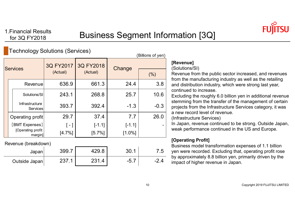

 $\sqrt{B}$ illions of  $\sqrt{B}$ 

### Technology Solutions (Services)

| BILIONS OF YELL) |                                   |                             |                             |                       |        |  |
|------------------|-----------------------------------|-----------------------------|-----------------------------|-----------------------|--------|--|
| <b>Services</b>  |                                   | 3Q FY2017<br>(Actual)       | 3Q FY2018<br>(Actual)       | Change                | (% )   |  |
|                  | Revenue                           | 636.9                       | 661.3                       | 24.4                  | 3.8    |  |
|                  | Solutions/SI                      | 243.1                       | 268.8                       | 25.7                  | 10.6   |  |
|                  | Infrastructure<br><b>Services</b> | 393.7                       | 392.4                       | $-1.3$                | $-0.3$ |  |
|                  |                                   | 29.7                        | 37.4                        | 7.7                   | 26.0   |  |
|                  | [Operating profit]                | $\lceil - \rceil$<br>[4.7%] | $[-1.1]$<br>[5.7%]          | $[-1.1]$<br>$[1.0\%]$ |        |  |
|                  |                                   | [BMT Expenses]              | Operating profit<br>margin] |                       |        |  |

Revenue (breakdown)

| Japan         | 399.       | 129.8 |            | ►<br> |
|---------------|------------|-------|------------|-------|
| Outside Japan | つつつ<br>∠∪≀ | つつ1   | ∽<br>-၁. . | -     |

### **[Revenue]**

### (Solutions/SI)

Revenue from the public sector increased, and revenues from the manufacturing industry as well as the retailing and distribution industry, which were strong last year, continued to increase.

Excluding the roughly 6.0 billion yen in additional revenue stemming from the transfer of the management of certain projects from the Infrastructure Services category, it was a new record level of revenue.

(Infrastructure Services)

In Japan, revenue continued to be strong. Outside Japan, weak performance continued in the US and Europe.

### **[Operating Profit]**

Business model transformation expenses of 1.1 billion yen were recorded. Excluding that, operating profit rose by approximately 8.8 billion yen, primarily driven by the impact of higher revenue in Japan.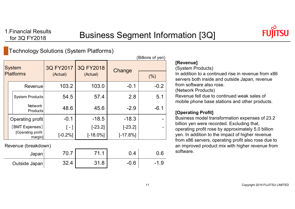

### Technology Solutions (System Platforms)

|                                   | (Billions of yen)                 |                       |                       |             |                          |
|-----------------------------------|-----------------------------------|-----------------------|-----------------------|-------------|--------------------------|
| <b>System</b><br><b>Platforms</b> |                                   | 3Q FY2017<br>(Actual) | 3Q FY2018<br>(Actual) | Change      | (%)                      |
|                                   | Revenue                           | 103.2                 | 103.0                 | $-0.1$      | $-0.2$                   |
|                                   | <b>System Products</b>            | 54.5                  | 57.4                  | 2.8         | 5.1                      |
|                                   | <b>Network</b><br><b>Products</b> | 48.6                  | 45.6                  | $-2.9$      | $-6.1$                   |
|                                   | Operating profit                  | $-0.1$                | $-18.5$               | $-18.3$     |                          |
|                                   | [BMT Expenses]                    | $\lceil - \rceil$     | $[-23.2]$             | $[-23.2]$   | $\overline{\phantom{a}}$ |
|                                   | [Operating profit]<br>margin]     | $[-0.2%]$             | $[-18.0\%]$           | $[-17.8\%]$ |                          |

Revenue (breakdown)

| Japan         | , v.,      | 74<br>-4<br>. | Δ      | ს.6  |
|---------------|------------|---------------|--------|------|
| Outside Japan | າດ<br>32.4 | 1.8<br>O 4.   | $-0.6$ | -1.9 |

#### **[Revenue]**

(System Products)

In addition to a continued rise in revenue from x86 servers both inside and outside Japan, revenue from software also rose.

(Network Products)

Revenue fell due to continued weak sales of mobile phone base stations and other products.

#### **[Operating Profit]**

Business model transformation expenses of 23.2 billion yen were recorded. Excluding that, operating profit rose by approximately 5.0 billion yen. In addition to the impact of higher revenue from x86 servers, operating profit also rose due to an improved product mix with higher revenue from software.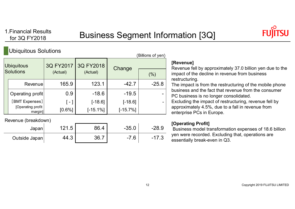$(Dillione of von)$ 



### Ubiquitous Solutions

|                              |                       |                       |            | <b>DIIIUID UI YUII</b> |
|------------------------------|-----------------------|-----------------------|------------|------------------------|
| Ubiquitous<br>Solutions      | 3Q FY2017<br>(Actual) | 3Q FY2018<br>(Actual) | Change     | (%)                    |
| Revenue                      | 165.9                 | 123.1                 | $-42.7$    | $-25.8$                |
| Operating profit             | 0.9                   | $-18.6$               | $-19.5$    |                        |
| [BMT Expenses]               | $-1$                  | $[-18.6]$             | $[-18.6]$  |                        |
| [Operating profit<br>margin] | $[0.6\%]$             | $[-15.1\%]$           | $[-15.7%]$ |                        |

Revenue (breakdown)

| Japan         | 121.5<br>イワイ   | 86.4         | $-35.0$    | $-28.9$ |
|---------------|----------------|--------------|------------|---------|
| Outside Japan | $\sim$<br>44.3 | 26.<br>ו .טט | 7.6<br>- 1 | -17.3   |

#### **[Revenue]**

Revenue fell by approximately 37.0 billion yen due to the impact of the decline in revenue from business restructuring.

The impact is from the restructuring of the mobile phone business and the fact that revenue from the consumer PC business is no longer consolidated.

Excluding the impact of restructuring, revenue fell by approximately 4.5%, due to a fall in revenue from enterprise PCs in Europe.

#### **[Operating Profit]**

Business model transformation expenses of 18.6 billion yen were recorded. Excluding that, operations are essentially break-even in Q3.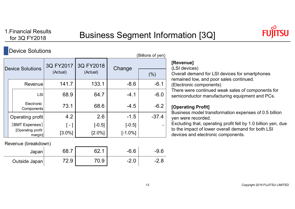

### Device Solutions

| (Billions of yen)       |                               |                       |                       |            |         |  |  |  |
|-------------------------|-------------------------------|-----------------------|-----------------------|------------|---------|--|--|--|
| <b>Device Solutions</b> |                               | 3Q FY2017<br>(Actual) | 3Q FY2018<br>(Actual) | Change     | (%)     |  |  |  |
|                         |                               |                       |                       |            |         |  |  |  |
|                         | Revenue                       | 141.7                 | 133.1                 | $-8.6$     | $-6.1$  |  |  |  |
|                         | LSI                           | 68.9                  | 64.7                  | $-4.1$     | $-6.0$  |  |  |  |
|                         | Electronic<br>Components      | 73.1                  | 68.6                  | $-4.5$     | $-6.2$  |  |  |  |
|                         | Operating profit              | 4.2                   | 2.6                   | $-1.5$     | $-37.4$ |  |  |  |
|                         | [BMT Expenses]                | [ - ]                 | $[-0.5]$              | $[-0.5]$   |         |  |  |  |
|                         | [Operating profit]<br>margin] | $[3.0\%]$             | $[2.0\%]$             | $[-1.0\%]$ |         |  |  |  |

Revenue (breakdown)

| Japan         | 68.7 | ຼດ<br>J _ . | $-6.6$    | $-9.6$ |
|---------------|------|-------------|-----------|--------|
| Outside Japan | 2.9  | 0.9         | ◠<br>-4.U | $-2.8$ |

### **[Revenue]**

(LSI devices)

Overall demand for LSI devices for smartphones remained low, and poor sales continued.

(Electronic components)

There were continued weak sales of components for semiconductor manufacturing equipment and PCs.

#### **[Operating Profit]**

Business model transformation expenses of 0.5 billion yen were recorded.

Excluding that, operating profit fell by 1.0 billion yen, due to the impact of lower overall demand for both LSI devices and electronic components.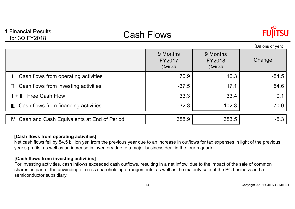# 1.Financial Results<br>for 3Q FY2018 **Cash Flows**



|                                                         | 9 Months<br>FY2017<br>(Actual) | 9 Months<br><b>FY2018</b><br>(Actual) | (Billions of yen)<br>Change |
|---------------------------------------------------------|--------------------------------|---------------------------------------|-----------------------------|
| Cash flows from operating activities                    | 70.9                           | 16.3                                  | $-54.5$                     |
| Cash flows from investing activities<br>П               | $-37.5$                        | 17.1                                  | 54.6                        |
| $I + II$ Free Cash Flow                                 | 33.3                           | 33.4                                  | 0.1                         |
| Cash flows from financing activities<br>Ш               | $-32.3$                        | $-102.3$                              | $-70.0$                     |
| Cash and Cash Equivalents at End of Period<br><b>IV</b> | 388.9                          | 383.5                                 | $-5.3$                      |

#### **[Cash flows from operating activities]**

Net cash flows fell by 54.5 billion yen from the previous year due to an increase in outflows for tax expenses in light of the previous year's profits, as well as an increase in inventory due to a major business deal in the fourth quarter.

#### **[Cash flows from investing activities]**

For investing activities, cash inflows exceeded cash outflows, resulting in a net inflow, due to the impact of the sale of common shares as part of the unwinding of cross shareholding arrangements, as well as the majority sale of the PC business and a semiconductor subsidiary.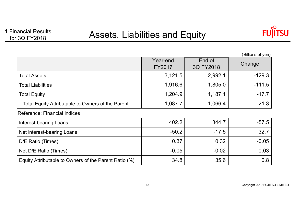

|                                                       |                           |                     | (Billions of yen) |
|-------------------------------------------------------|---------------------------|---------------------|-------------------|
|                                                       | Year-end<br><b>FY2017</b> | End of<br>3Q FY2018 | Change            |
| <b>Total Assets</b>                                   | 3,121.5                   | 2,992.1             | $-129.3$          |
| <b>Total Liabilities</b>                              | 1,916.6                   | 1,805.0             | $-111.5$          |
| <b>Total Equity</b>                                   | 1,204.9                   | 1,187.1             | $-17.7$           |
| Total Equity Attributable to Owners of the Parent     | 1,087.7                   | 1,066.4             | $-21.3$           |
| Reference: Financial Indices                          |                           |                     |                   |
| <b>Interest-bearing Loans</b>                         | 402.2                     | 344.7               | $-57.5$           |
| Net Interest-bearing Loans                            | $-50.2$                   | $-17.5$             | 32.7              |
| D/E Ratio (Times)                                     | 0.37                      | 0.32                | $-0.05$           |
| Net D/E Ratio (Times)                                 | $-0.05$                   | $-0.02$             | 0.03              |
| Equity Attributable to Owners of the Parent Ratio (%) | 34.8                      | 35.6                | 0.8               |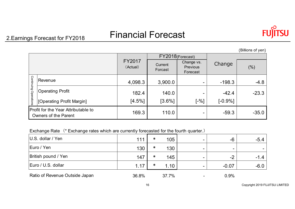# 2.Earnings Forecast for FY2018 Financial Forecast

|                       |                                                             |                    | FY2018(Forecast)   |                                    |            |         |
|-----------------------|-------------------------------------------------------------|--------------------|--------------------|------------------------------------|------------|---------|
|                       |                                                             | FY2017<br>(Actual) | Current<br>Forcast | Change vs.<br>Previous<br>Forecast | Change     | (%)     |
|                       | Revenue                                                     | 4,098.3            | 3,900.0            | $\overline{\phantom{0}}$           | $-198.3$   | $-4.8$  |
| Continuing Operations | <b>Operating Profit</b>                                     | 182.4              | 140.0              |                                    | $-42.4$    | $-23.3$ |
|                       | [Operating Profit Margin]                                   | [4.5%]             | $[3.6\%]$          | $\lceil -\% \rceil$                | $[-0.9\%]$ |         |
|                       | Profit for the Year Attributable to<br>Owners of the Parent | 169.3              | 110.0              | $\overline{\phantom{0}}$           | $-59.3$    | $-35.0$ |

Exchange Rate (\* Exchange rates which are currently forecasted for the fourth quarter.)

| $ U.S.$ dollar / Yen           | 111   | $\ast$ | 105   | -6                       | $-5.4$ |
|--------------------------------|-------|--------|-------|--------------------------|--------|
| Euro / Yen                     | 130   | $\ast$ | 130   | $\overline{\phantom{0}}$ |        |
| British pound / Yen            | 147   | $\ast$ | 145   | $-2$                     | $-1.4$ |
| Euro / U.S. dollar             | 1.17  | $\ast$ | 1.10  | $-0.07$                  | $-6.0$ |
| Ratio of Revenue Outside Japan | 36.8% |        | 37.7% | 0.9%                     |        |

(Billions of yen)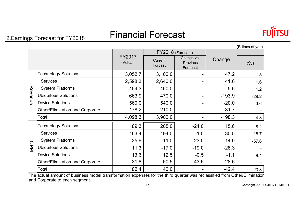# 2.Earnings Forecast for FY2018 Financial Forecast

| Ш | r |
|---|---|

|         |                                                                                                                                                                                                                                                                                                                   |                    |                    |                                    |          | (Billions of yen) |
|---------|-------------------------------------------------------------------------------------------------------------------------------------------------------------------------------------------------------------------------------------------------------------------------------------------------------------------|--------------------|--------------------|------------------------------------|----------|-------------------|
|         |                                                                                                                                                                                                                                                                                                                   |                    |                    | FY2018 (Forecast)                  |          |                   |
|         | <b>Technology Solutions</b><br><b>Services</b><br><b>System Platforms</b><br><b>Ubiquitous Solutions</b><br><b>Other/Elimination and Corporate</b><br>Total<br><b>Technology Solutions</b><br><b>Services</b><br><b>System Platforms</b><br><b>Ubiquitous Solutions</b><br><b>Other/Elimination and Corporate</b> | FY2017<br>(Actual) | Current<br>Forcast | Change vs.<br>Previous<br>Forecast | Change   | (%)               |
|         |                                                                                                                                                                                                                                                                                                                   | 3,052.7            | 3,100.0            |                                    | 47.2     | 1.5               |
|         |                                                                                                                                                                                                                                                                                                                   | 2,598.3            | 2,640.0            |                                    | 41.6     | 1.6               |
|         |                                                                                                                                                                                                                                                                                                                   | 454.3              | 460.0              |                                    | 5.6      | 1.2               |
| Revenue |                                                                                                                                                                                                                                                                                                                   | 663.9              | 470.0              |                                    | $-193.9$ | $-29.2$           |
|         | <b>Device Solutions</b>                                                                                                                                                                                                                                                                                           | 560.0              | 540.0              |                                    | $-20.0$  | $-3.6$            |
|         |                                                                                                                                                                                                                                                                                                                   | $-178.2$           | $-210.0$           |                                    | $-31.7$  |                   |
|         |                                                                                                                                                                                                                                                                                                                   | 4,098.3            | 3,900.0            |                                    | $-198.3$ | $-4.8$            |
|         |                                                                                                                                                                                                                                                                                                                   | 189.3              | 205.0              | $-24.0$                            | 15.6     | 8.2               |
|         |                                                                                                                                                                                                                                                                                                                   | 163.4              | 194.0              | $-1.0$                             | 30.5     | 18.7              |
|         |                                                                                                                                                                                                                                                                                                                   | 25.9               | 11.0               | $-23.0$                            | $-14.9$  | $-57.6$           |
| OPPL    |                                                                                                                                                                                                                                                                                                                   | 11.3               | $-17.0$            | $-19.0$                            | $-28.3$  |                   |
|         | <b>Device Solutions</b>                                                                                                                                                                                                                                                                                           | 13.6               | 12.5               | $-0.5$                             | $-1.1$   | $-8.4$            |
|         |                                                                                                                                                                                                                                                                                                                   | $-31.8$            | $-60.5$            | 43.5                               | $-28.6$  |                   |
|         | Total                                                                                                                                                                                                                                                                                                             | 182.4              | 140.0              |                                    | $-42.4$  | $-23.3$           |

The actual amount of business model transformation expenses for the third quarter was reclassified from Other/Elimination and Corporate to each segment.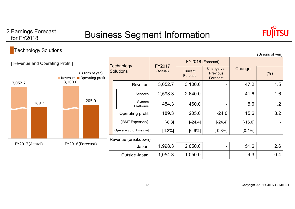# for FY2018

## 2.Earnings Forecast **Example 1** Business Segment Information



### **Technology Solutions**

| - - JJ - - - - - -                            |       |                            |                           |                    |                                           |           | (Billions of yen) |
|-----------------------------------------------|-------|----------------------------|---------------------------|--------------------|-------------------------------------------|-----------|-------------------|
| [ Revenue and Operating Profit ]              |       | <b>Technology</b>          |                           | FY2018 (Forecast)  |                                           |           |                   |
| (Billions of yen)<br>Revenue Operating profit |       | <b>Solutions</b>           | <b>FY2017</b><br>(Actual) | Current<br>Forcast | Change vs.<br><b>Previous</b><br>Forecast | Change    | (% )              |
| 3,100.0<br>3,052.7                            |       | Revenue                    | 3,052.7                   | 3,100.0            |                                           | 47.2      | 1.5               |
|                                               |       | Services                   | 2,598.3                   | 2,640.0            |                                           | 41.6      | 1.6               |
| 189.3                                         | 205.0 | System<br><b>Platforms</b> | 454.3                     | 460.0              |                                           | 5.6       | 1.2               |
|                                               |       | Operating profit           | 189.3                     | 205.0              | $-24.0$                                   | 15.6      | 8.2               |
|                                               |       | [BMT Expenses]             | $[-8.3]$                  | $[-24.4]$          | $[-24.4]$                                 | $[-16.0]$ |                   |
|                                               |       | [Operating profit margin]  | [6.2%]                    | $[6.6\%]$          | $[-0.8%]$                                 | [0.4%]    |                   |
|                                               |       | Revenue (breakdown)        |                           |                    |                                           |           |                   |
| FY2017(Actual)<br>FY2018(Forecast)            |       | Japan                      | 1,998.3                   | 2,050.0            | $\qquad \qquad$                           | 51.6      | 2.6               |
|                                               |       | Outside Japan              | 1,054.3                   | 1,050.0            |                                           | $-4.3$    | $-0.4$            |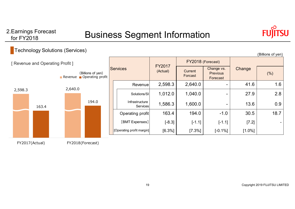# 2.Earnings Forecast **Example 1** Business Segment Information



(Billions of yen)

### Technology Solutions (Services)

| [ Revenue and Operating Profit ]<br>(Billions of yen)<br>Revenue Operating profit |       | <b>Services</b> |  | <b>FY2017</b>              | FY2018 (Forecast)          |                                           |           |            |           |     |
|-----------------------------------------------------------------------------------|-------|-----------------|--|----------------------------|----------------------------|-------------------------------------------|-----------|------------|-----------|-----|
|                                                                                   |       |                 |  | (Actual)                   | Current<br>Forcast         | Change vs.<br><b>Previous</b><br>Forecast | Change    | (%)        |           |     |
|                                                                                   |       |                 |  |                            | Revenue                    | 2,598.3                                   | 2,640.0   | -          | 41.6      | 1.6 |
| 2,598.3                                                                           | 163.4 | 2,640.0         |  | Solutions/SI               | 1,012.0                    | 1,040.0                                   | -         | 27.9       | 2.8       |     |
|                                                                                   |       | 194.0           |  | Infrastructure<br>Services | 1,586.3                    | 1,600.0                                   | -         | 13.6       | 0.9       |     |
|                                                                                   |       |                 |  | Operating profit           | 163.4                      | 194.0                                     | $-1.0$    | 30.5       | 18.7      |     |
|                                                                                   |       |                 |  | [BMT Expenses]             | $[-8.3]$                   | $[-1.1]$                                  | $[-1.1]$  | [7.2]      |           |     |
|                                                                                   |       |                 |  |                            | [Operating profit margin]] | [6.3%]                                    | $[7.3\%]$ | $[-0.1\%]$ | $[1.0\%]$ |     |
|                                                                                   |       |                 |  |                            |                            |                                           |           |            |           |     |

FY2017(Actual) FY2018(Forecast)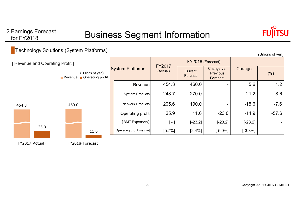# 2.Earnings Forecast **Example 1** Business Segment Information



### **Technology Solutions (System Platforms)**

| ັບເ                              |       |                                               |                           |                           |                    |                                           |            | (Billions of yen) |
|----------------------------------|-------|-----------------------------------------------|---------------------------|---------------------------|--------------------|-------------------------------------------|------------|-------------------|
| [ Revenue and Operating Profit ] |       |                                               |                           |                           | FY2018 (Forecast)  |                                           |            |                   |
|                                  |       | (Billions of yen)<br>Revenue Operating profit | <b>System Platforms</b>   | <b>FY2017</b><br>(Actual) | Current<br>Forcast | Change vs.<br><b>Previous</b><br>Forecast | Change     | (% )              |
|                                  |       |                                               | Revenuel                  | 454.3                     | 460.0              |                                           | 5.6        | 1.2               |
|                                  |       |                                               | System Products           | 248.7                     | 270.0              |                                           | 21.2       | 8.6               |
| 454.3                            | 460.0 |                                               | Network Products          | 205.6                     | 190.0              | $\overline{\phantom{a}}$                  | $-15.6$    | $-7.6$            |
|                                  |       |                                               | Operating profit          | 25.9                      | 11.0               | $-23.0$                                   | $-14.9$    | $-57.6$           |
|                                  |       |                                               | [BMT Expenses]            | l - I                     | $[-23.2]$          | $[-23.2]$                                 | $[-23.2]$  |                   |
| 25.9                             |       | 11.0                                          | [Operating profit margin] | [5.7%]                    | [2.4%]             | $[-5.0\%]$                                | $[-3.3\%]$ |                   |
| FY2017(Actual)                   |       | FY2018(Forecast)                              |                           |                           |                    |                                           |            |                   |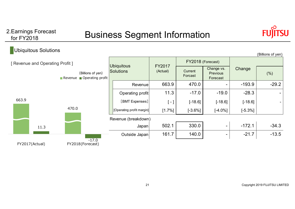for FY2018

# 2.Earnings Forecast **Example 1** Business Segment Information



| Ubiquitous Solutions                                                                                |                             |                                       |                    |                    |                                           |            | (Billions of yen) |
|-----------------------------------------------------------------------------------------------------|-----------------------------|---------------------------------------|--------------------|--------------------|-------------------------------------------|------------|-------------------|
| [ Revenue and Operating Profit ]<br>(Billions of yen)<br>Operating profit<br>$\blacksquare$ Revenue |                             |                                       | FY2017<br>(Actual) | FY2018 (Forecast)  |                                           |            |                   |
|                                                                                                     |                             | <b>Ubiquitous</b><br><b>Solutions</b> |                    | Current<br>Forcast | Change vs.<br><b>Previous</b><br>Forecast | Change     | (% )              |
|                                                                                                     |                             | Revenuel                              | 663.9              | 470.0              |                                           | $-193.9$   | $-29.2$           |
|                                                                                                     |                             | Operating profit                      | 11.3               | $-17.0$            | $-19.0$                                   | $-28.3$    |                   |
| 663.9                                                                                               |                             | [BMT Expenses]                        | $\left[ -\right]$  | $[-18.6]$          | $[-18.6]$                                 | $[-18.6]$  |                   |
| 470.0                                                                                               |                             | [Operating profit margin]             | [1.7%]             | $[-3.6%]$          | $[-4.0\%]$                                | $[-5.3\%]$ |                   |
|                                                                                                     |                             | Revenue (breakdown)                   |                    |                    |                                           |            |                   |
| 11.3                                                                                                |                             | Japan                                 | 502.1              | 330.0              | $\overline{\phantom{0}}$                  | $-172.1$   | $-34.3$           |
|                                                                                                     |                             | Outside Japan                         | 161.7              | 140.0              | -                                         | $-21.7$    | $-13.5$           |
| FY2017(Actual)                                                                                      | $-17.0$<br>FY2018(Forecast) |                                       |                    |                    |                                           |            |                   |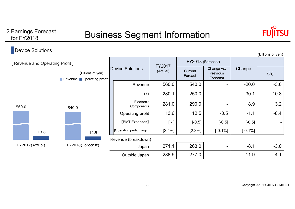## 2. Earnings Forecast **Example 18 Business Segment Information**



#### Device Solutions [ Revenue and Operating Profit ] (Billions of yen) Current (Billions of yen) Current (Current Current Current Current Current Current Current Current Current Current Current Current Current Current Current Current Current Current Current Current Current C Change vs. Previous Forecast $\begin{matrix} 3 \\ 1 \end{matrix}$  (%)  $560.0$   $540.0$   $-1$   $-20.0$   $-3.6$ LSI 280.1 250.0 - -30.1 -10.8  $-10.8$ ElectronicComponents 281.0 290.0 - 8.9 3.2 13.6 | 12.5 | -0.5 | -1.1 | -8.4  $-8.4$  $[-]$  [-0.5] [-0.5] [-0.5] [-0.5] [-0.5]  $[-]$  $[2.4\%]$   $[2.3\%]$   $[-0.1\%]$   $[-0.1\%]$ Revenue (breakdown) Japan 271.1 263.0 - -6.1 -3.0 Outside Japan  $288.9$  277.0  $-11.9$  -11.9 (Billions of yen) Device Solutionss FY2017 Change vs. Change Change FY2018 (Forecast) RevenueOperating profit [Operating profit margin] [BMT Expenses] 560.0 540.0 13.6 12.5 FY2017(Actual) FY2018(Forecast) Revenue **Operating profit**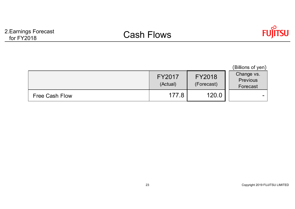

|                       |                    |                      | (Billions of yen)                  |
|-----------------------|--------------------|----------------------|------------------------------------|
|                       | FY2017<br>(Actual) | FY2018<br>(Forecast) | Change vs.<br>Previous<br>Forecast |
| <b>Free Cash Flow</b> | 177.8              | 120.0                |                                    |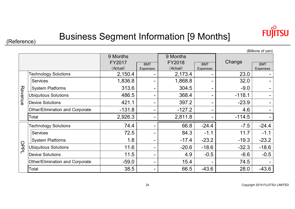

# (Reference) Business Segment Information [9 Months]

|         | (Billions of yen)                      |          |            |          |            |          |            |  |  |
|---------|----------------------------------------|----------|------------|----------|------------|----------|------------|--|--|
|         |                                        | 9 Months |            | 9 Months |            |          |            |  |  |
|         |                                        | FY2017   | <b>BMT</b> | FY2018   | <b>BMT</b> | Change   | <b>BMT</b> |  |  |
|         |                                        | (Actual) | Expenses   | (Actual) | Expenses   |          | Expenses   |  |  |
|         | <b>Technology Solutions</b>            | 2,150.4  |            | 2,173.4  |            | 23.0     |            |  |  |
|         | <b>Services</b>                        | 1,836.8  |            | 1,868.8  |            | 32.0     |            |  |  |
|         | <b>System Platforms</b>                | 313.6    |            | 304.5    |            | $-9.0$   |            |  |  |
| Revenue | <b>Ubiquitous Solutions</b>            | 486.5    |            | 368.4    |            | $-118.1$ |            |  |  |
|         | <b>Device Solutions</b>                | 421.1    |            | 397.2    |            | $-23.9$  |            |  |  |
|         | Other/Elimination and Corporate        | $-131.8$ |            | $-127.2$ |            | 4.6      |            |  |  |
|         | Total                                  | 2,926.3  |            | 2,811.8  |            | $-114.5$ |            |  |  |
|         | <b>Technology Solutions</b>            | 74.4     |            | 66.8     | $-24.4$    | $-7.5$   | $-24.4$    |  |  |
|         | Services                               | 72.5     |            | 84.3     | $-1.1$     | 11.7     | $-1.1$     |  |  |
|         | <b>System Platforms</b>                | 1.8      |            | $-17.4$  | $-23.2$    | $-19.3$  | $-23.2$    |  |  |
| OPP     | <b>Ubiquitous Solutions</b>            | 11.6     |            | $-20.6$  | $-18.6$    | $-32.3$  | $-18.6$    |  |  |
|         | <b>Device Solutions</b>                | 11.5     |            | 4.9      | $-0.5$     | $-6.6$   | $-0.5$     |  |  |
|         | <b>Other/Elimination and Corporate</b> | $-59.0$  |            | 15.4     |            | 74.5     |            |  |  |
|         | Total                                  | 38.5     |            | 66.5     | $-43.6$    | 28.0     | $-43.6$    |  |  |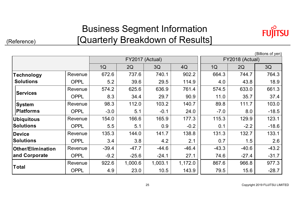### Business Segment Information [Quarterly Breakdown of Results]

(Reference)



(Billions of yen) 1Q 2Q 3Q 4Q 1Q 2Q 3Q Revenue | 672.6 | 737.6 | 740.1 | 902.2 | 664.3 | 744.7 | 764.3 | OPPL | 5.2 | 39.6 | 29.5 | 114.9 | 4.0 | 43.8 | 18.9 | Revenue | 574.2 | 625.6 | 636.9 | 761.4 | 574.5 | 633.0 | 661.3 | OPPL | 8.3 | 34.4 | 29.7 | 90.9 || 11.0 | 35.7 | 37.4 | Revenue | 98.3 | 112.0 | 103.2 | 140.7 | 89.8 | 111.7 | 103.0 | OPPL | -3.0 | 5.1 | -0.1 | 24.0 | -7.0 | 8.0 | -18.5 |  $-18.5$ Revenue | 154.0 | 166.6 | 165.9 | 177.3 | 115.3 | 129.9 | 123.1 OPPL | 5.5 | 5.1 | 0.9 | -0.2 || 0.1 | -2.2 | -18.6 | Revenue | 135.3 | 144.0 | 141.7 | 138.8 | 131.3 | 132.7 | 133.1 133.1 OPPL | 3.4 | 3.8 | 4.2 | 2.1 | 0.7 | 1.5 | 2.6 Revenue | -39.4 | -47.7 | -44.6 | -46.4 | -43.3 | -40.6 | -43.2 | OPPL | -9.2 | -25.6 | -24.1 | -27.1 | 74.6 | -27.4 | -31.7 | Revenue | 922.6 | 1,000.6 | 1,003.1 | 1,172.0 **| |** 867.6 | 966.8 | 977.3 | OPPL 4.9 23.0 10.5 143.9 79.5 15.6 -28.7  $-28.7$ FY2018 (Actual) **Other/Elimination and Corporate Total**FY2017 (Actual) **Technology SolutionsServicesSystem PlatformsUbiquitous SolutionsDevice Solutions**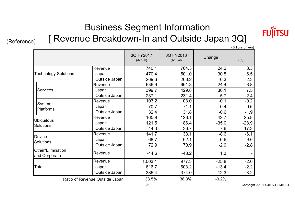## Business Segment Information

(Reference) [ Revenue Breakdown-In and Outside Japan 3Q]

FI

**SU** 

(Billions of yen)

|                                    |                                | 3Q FY2017<br>(Actual) | 3Q FY2018<br>(Actual) | Change  | (%)     |
|------------------------------------|--------------------------------|-----------------------|-----------------------|---------|---------|
|                                    | Revenue                        | 740.1                 | 764.3                 | 24.2    | 3.3     |
| <b>Technology Solutions</b>        | Japan                          | 470.4                 | 501.0                 | 30.5    | 6.5     |
|                                    | Outside Japan                  | 269.6                 | 263.2                 | $-6.3$  | $-2.3$  |
|                                    | Revenue                        | 636.9                 | 661.3                 | 24.4    | 3.8     |
| <b>Services</b>                    | Japan                          | 399.7                 | 429.8                 | 30.1    | 7.5     |
|                                    | Outside Japan                  | 237.1                 | 231.4                 | $-5.7$  | $-2.4$  |
|                                    | Revenue                        | 103.2                 | 103.0                 | $-0.1$  | $-0.2$  |
| System<br><b>Platforms</b>         | Japan                          | 70.7                  | 71.1                  | 0.4     | 0.6     |
|                                    | Outside Japan                  | 32.4                  | 31.8                  | $-0.6$  | $-1.9$  |
|                                    | Revenue                        | 165.9                 | 123.1                 | $-42.7$ | $-25.8$ |
| <b>Ubiquitous</b><br>Solutions     | Japan                          | 121.5                 | 86.4                  | $-35.0$ | $-28.9$ |
|                                    | Outside Japan                  | 44.3                  | 36.7                  | $-7.6$  | $-17.3$ |
|                                    | Revenue                        | 141.7                 | 133.1                 | $-8.6$  | $-6.1$  |
| Device                             | Japan                          | 68.7                  | 62.1                  | $-6.6$  | $-9.6$  |
| Solutions                          | Outside Japan                  | 72.9                  | 70.9                  | $-2.0$  | $-2.8$  |
| Other/Elimination<br>and Corporate | Revenue                        | $-44.6$               | $-43.2$               | 1.3     |         |
|                                    | Revenue                        | 1,003.1               | 977.3                 | $-25.8$ | $-2.6$  |
| Total                              | Japan                          | 616.7                 | 603.2                 | $-13.4$ | $-2.2$  |
|                                    | Outside Japan                  | 386.4                 | 374.0                 | $-12.3$ | $-3.2$  |
|                                    | Ratio of Revenue Outside Japan | 38.5%                 | 38.3%                 | $-0.2%$ |         |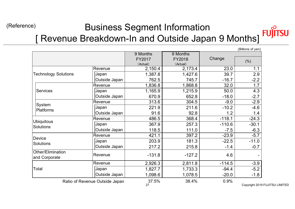#### (Reference) Business Segment Information **SU** [ Revenue Breakdown-In and Outside Japan 9 Months]

|                                       |                                |             |          |          | נווט צווטווווש ( |
|---------------------------------------|--------------------------------|-------------|----------|----------|------------------|
|                                       |                                | 9 Months    | 9 Months |          |                  |
|                                       |                                | FY2017      | FY2018   | Change   | (% )             |
|                                       |                                | (Actual)    | (Actual) |          |                  |
|                                       | Revenue                        | 2,150.4     | 2,173.4  | 23.0     | 1.1              |
| <b>Technology Solutions</b>           | Japan                          | 1,387.8     | 1,427.6  | 39.7     | 2.9              |
|                                       | Outside Japan                  | 762.5       | 745.7    | $-16.7$  | $-2.2$           |
|                                       | Revenue                        | 1,836.8     | 1,868.8  | 32.0     | 1.7              |
| <b>Services</b>                       | Japan                          | 1,165.9     | 1,215.9  | 50.0     | 4.3              |
|                                       | Outside Japan                  | 670.9       | 652.8    | $-18.0$  | $-2.7$           |
|                                       | Revenue                        | 313.6       | 304.5    | $-9.0$   | $-2.9$           |
| System<br><b>Platforms</b>            | Japan                          | 221.9       | 211.6    | $-10.2$  | $-4.6$           |
|                                       | Outside Japan                  | 91.6        | 92.8     | 1.2      | 1.4              |
|                                       | Revenue                        | 486.5       | 368.4    | $-118.1$ | $-24.3$          |
| <b>Ubiquitous</b><br><b>Solutions</b> | Japan                          | 367.9       | 257.3    | $-110.6$ | $-30.1$          |
|                                       | Outside Japan                  | 118.5       | 111.0    | $-7.5$   | $-6.3$           |
|                                       | Revenue                        | 421.1       | 397.2    | $-23.9$  | $-5.7$           |
| Device                                | Japan                          | 203.9       | 181.3    | $-22.5$  | $-11.0$          |
| <b>Solutions</b>                      | Outside Japan                  | 217.2       | 215.8    | $-1.4$   | $-0.7$           |
| Other/Elimination<br>and Corporate    | Revenue                        | $-131.8$    | $-127.2$ | 4.6      |                  |
|                                       | Revenue                        | 2,926.3     | 2,811.8  | $-114.5$ | $-3.9$           |
| Total                                 | Japan                          | 1,827.7     | 1,733.3  | $-94.4$  | $-5.2$           |
|                                       | Outside Japan                  | 1,098.6     | 1,078.5  | $-20.0$  | $-1.8$           |
|                                       | Ratio of Revenue Outside Japan | 37.5%<br>27 | 38.4%    | 0.9%     | Copyright 2019   |

(Billions of yen)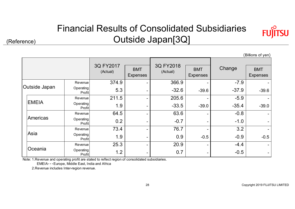### Financial Results of Consolidated Subsidiaries Outside Japan[3Q]



(Reference)

|               | (Billions of yen)   |                       |                               |                       |                               |         |                               |
|---------------|---------------------|-----------------------|-------------------------------|-----------------------|-------------------------------|---------|-------------------------------|
|               |                     |                       |                               |                       |                               |         |                               |
|               |                     | 3Q FY2017<br>(Actual) | <b>BMT</b><br><b>Expenses</b> | 3Q FY2018<br>(Actual) | <b>BMT</b><br><b>Expenses</b> | Change  | <b>BMT</b><br><b>Expenses</b> |
|               | Revenue             | 374.9                 |                               | 366.9                 |                               | $-7.9$  |                               |
| Outside Japan | Operating<br>Profit | 5.3                   |                               | $-32.6$               | $-39.6$                       | $-37.9$ | $-39.6$                       |
|               | Revenue             | 211.5                 |                               | 205.6                 |                               | $-5.9$  |                               |
| <b>EMEIA</b>  | Operating<br>Profit | 1.9                   |                               | $-33.5$               | $-39.0$                       | $-35.4$ | $-39.0$                       |
|               | Revenue             | 64.5                  |                               | 63.6                  |                               | $-0.8$  |                               |
| Americas      | Operating<br>Profit | 0.2                   |                               | $-0.7$                |                               | $-1.0$  |                               |
|               | Revenue             | 73.4                  |                               | 76.7                  |                               | 3.2     |                               |
| Asia          | Operating<br>Profit | 1.9                   |                               | 0.9                   | $-0.5$                        | $-0.9$  | $-0.5$                        |
|               | Revenue             | 25.3                  |                               | 20.9                  |                               | $-4.4$  |                               |
| Oceania       | Operating<br>Profit | 1.2                   |                               | 0.7                   |                               | $-0.5$  |                               |

Note: 1.Revenue and operating profit are stated to reflect region of consolidated subsidiaries.

EMEIA・・・Europe, Middle East, India and Africa

2.Revenue includes Inter-region revenue.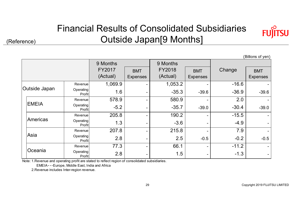### Financial Results of Consolidated Subsidiaries Outside Japan[9 Months]



(Billions of yen)

|  |                      |                     |                                       |                               |                                |                               | (5.000000, 5.00000) |                               |
|--|----------------------|---------------------|---------------------------------------|-------------------------------|--------------------------------|-------------------------------|---------------------|-------------------------------|
|  |                      |                     | 9 Months<br><b>FY2017</b><br>(Actual) | <b>BMT</b><br><b>Expenses</b> | 9 Months<br>FY2018<br>(Actual) | <b>BMT</b><br><b>Expenses</b> | Change              | <b>BMT</b><br><b>Expenses</b> |
|  |                      | Revenue             | 1,069.9                               |                               | 1,053.2                        |                               | $-16.6$             |                               |
|  | <b>Outside Japan</b> | Operating<br>Profit | 1.6                                   |                               | $-35.3$                        | $-39.6$                       | $-36.9$             | $-39.6$                       |
|  |                      | Revenue             | 578.9                                 |                               | 580.9                          |                               | 2.0                 |                               |
|  | <b>EMEIA</b>         | Operating           | $-5.2$<br><b>Profit</b>               |                               | $-35.7$                        | $-39.0$                       | $-30.4$             | $-39.0$                       |
|  |                      | Revenue             | 205.8                                 |                               | 190.2                          |                               | $-15.5$             |                               |
|  | Americas             | Operating<br>Profit | 1.3                                   |                               | $-3.6$                         |                               | $-4.9$              |                               |
|  |                      | Revenue             | 207.8                                 |                               | 215.8                          |                               | 7.9                 |                               |
|  | Asia                 | Operating<br>Profit | 2.8                                   |                               | 2.5                            | $-0.5$                        | $-0.2$              | $-0.5$                        |
|  |                      | Revenue             | 77.3                                  |                               | 66.1                           |                               | $-11.2$             |                               |
|  | Oceania              | Operating<br>Profit | 2.8                                   |                               | 1.5                            |                               | $-1.3$              |                               |

Note: 1.Revenue and operating profit are stated to reflect region of consolidated subsidiaries.

EMEIA・・・Europe, Middle East, India and Africa

2.Revenue includes Inter-region revenue.

(Reference)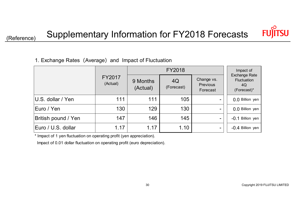

### 1. Exchange Rates (Average) and Impact of Fluctuation

|                     |                    |                      | FY2018           |                                           | Impact of                                                |
|---------------------|--------------------|----------------------|------------------|-------------------------------------------|----------------------------------------------------------|
|                     | FY2017<br>(Actual) | 9 Months<br>(Actual) | 4Q<br>(Forecast) | Change vs.<br><b>Previous</b><br>Forecast | <b>Exchange Rate</b><br>Fluctuation<br>4Q<br>(Forecast)* |
| U.S. dollar / Yen   | 111                | 111                  | 105              |                                           | 0.0 Billion yen                                          |
| Euro / Yen          | 130                | 129                  | 130              |                                           | 0.0 Billion yen                                          |
| British pound / Yen | 147                | 146                  | 145              | -                                         | -0.1 Billion yen                                         |
| Euro / U.S. dollar  | 1.17               | 1.17                 | 1.10             |                                           | -0.4 Billion yen                                         |

\* Impact of 1 yen fluctuation on operating profit (yen appreciation).

Impact of 0.01 dollar fluctuation on operating profit (euro depreciation).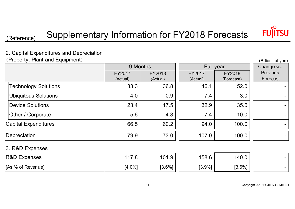

(Billions of yen)

(Reference) Supplementary Information for FY2018 Forecasts

### 2. Capital Expenditures and Depreciation

(Property, Plant and Equipment)

|                             | 9 Months                  |                           |                    | Full year            |                      |  |
|-----------------------------|---------------------------|---------------------------|--------------------|----------------------|----------------------|--|
|                             | <b>FY2017</b><br>(Actual) | <b>FY2018</b><br>(Actual) | FY2017<br>(Actual) | FY2018<br>(Forecast) | Previous<br>Forecast |  |
| <b>Technology Solutions</b> | 33.3                      | 36.8                      | 46.1               | 52.0                 |                      |  |
| <b>Ubiquitous Solutions</b> | 4.0                       | 0.9                       | 7.4                | 3.0                  |                      |  |
| Device Solutions            | 23.4                      | 17.5                      | 32.9               | 35.0                 |                      |  |
| Other / Corporate           | 5.6                       | 4.8                       | 7.4                | 10.0                 |                      |  |
| Capital Expenditures        | 66.5                      | 60.2                      | 94.0               | 100.0                |                      |  |
| Depreciation                | 79.9                      | 73.0                      | 107.0              | 100.0                |                      |  |
| 2 DID Evanopo               |                           |                           |                    |                      |                      |  |

#### 3. R&D Expenses

| <b>R&amp;D Expenses</b> | 117 O<br>. 0 | 101.9     | 158.6  | 140.0     |  |
|-------------------------|--------------|-----------|--------|-----------|--|
| [As % of Revenue]       | $[4.0\%]$    | $[3.6\%]$ | [3.9%] | $[3.6\%]$ |  |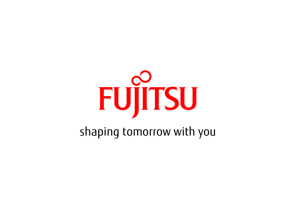

shaping tomorrow with you